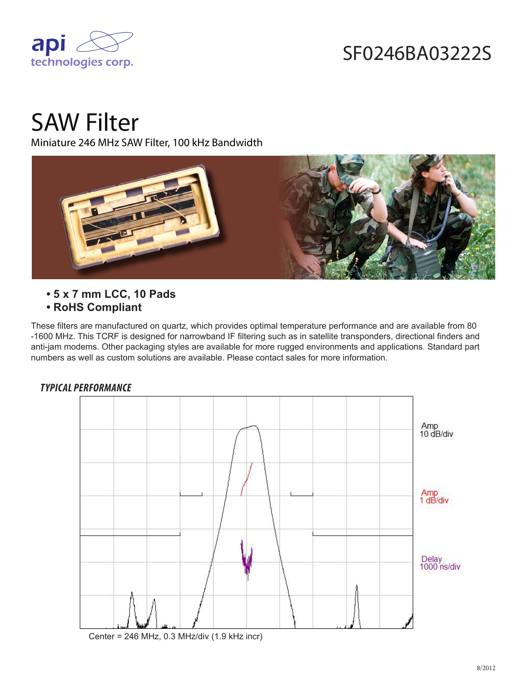

## SF0246BA03222S

# SAW Filter

Miniature 246 MHz SAW Filter, 100 kHz Bandwidth



- **5 x 7 mm LCC, 10 Pads**
- **RoHS Compliant**

These filters are manufactured on quartz, which provides optimal temperature performance and are available from 80 -1600 MHz. This TCRF is designed for narrowband IF filtering such as in satellite transponders, directional finders and anti-jam modems. Other packaging styles are available for more rugged environments and applications. Standard part numbers as well as custom solutions are available. Please contact sales for more information.

#### *TYPICAL PERFORMANCE*



Center = 246 MHz, 0.3 MHz/div (1.9 kHz incr)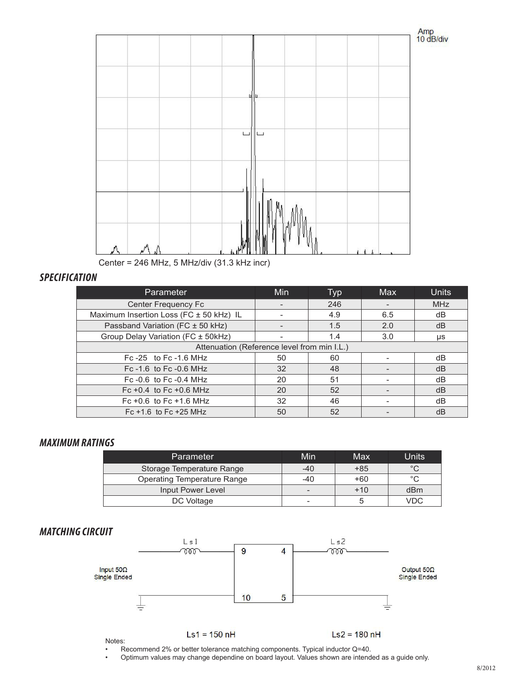

Center = 246 MHz, 5 MHz/div (31.3 kHz incr)

#### *SPECIFICATION*

| Parameter                                   | <b>Min</b> | Typ | Max | <b>Units</b> |  |
|---------------------------------------------|------------|-----|-----|--------------|--|
| Center Frequency Fc                         |            | 246 |     | <b>MHz</b>   |  |
| Maximum Insertion Loss (FC ± 50 kHz) IL     |            | 4.9 | 6.5 | dB           |  |
| Passband Variation (FC ± 50 kHz)            |            | 1.5 | 2.0 | dB           |  |
| Group Delay Variation (FC ± 50kHz)          |            | 1.4 | 3.0 | μs           |  |
| Attenuation (Reference level from min I.L.) |            |     |     |              |  |
| Fc $-25$ to Fc $-1.6$ MHz                   | 50         | 60  |     | dB           |  |
| Fc $-1.6$ to Fc $-0.6$ MHz                  | 32         | 48  |     | dB           |  |
| Fc $-0.6$ to Fc $-0.4$ MHz                  | 20         | 51  |     | dB           |  |
| Fc +0.4 to Fc +0.6 MHz                      | 20         | 52  |     | dB           |  |
| Fc +0.6 to Fc +1.6 MHz                      | 32         | 46  |     | dB           |  |
| Fc $+1.6$ to Fc $+25$ MHz                   | 50         | 52  |     | dB           |  |

#### *MAXIMUM RATINGS*

| <b>Parameter</b>                   | Min                      | Max   | Units   |
|------------------------------------|--------------------------|-------|---------|
| Storage Temperature Range          | $-40$                    | $+85$ | $\circ$ |
| <b>Operating Temperature Range</b> | -40                      | $+60$ | $\circ$ |
| Input Power Level                  | -                        | $+10$ | dBm     |
| DC Voltage                         | $\overline{\phantom{a}}$ |       | VDC     |

### *MATCHING CIRCUIT*



• Recommend 2% or better tolerance matching components. Typical inductor Q=40.

• Optimum values may change dependine on board layout. Values shown are intended as a guide only.